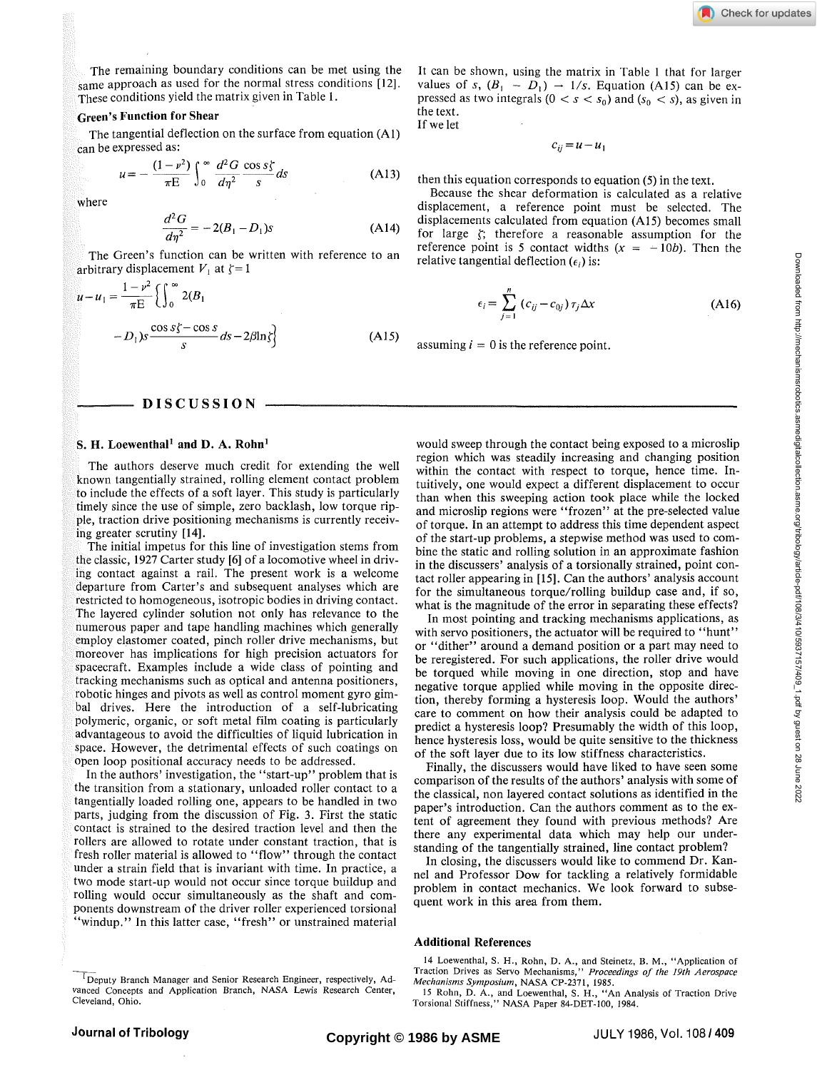The remaining boundary conditions can be met using the same approach as used for the normal stress conditions [12]. These conditions yield the matrix given in Table 1.

#### **Green's Function for Shear**

The tangential deflection on the surface from equation (Al) can be expressed as:

$$
u = -\frac{(1 - v^2)}{\pi E} \int_0^\infty \frac{d^2 G}{d\eta^2} \frac{\cos s \zeta}{s} ds \tag{A13}
$$

where

$$
\frac{d^2G}{d\eta^2} = -2(B_1 - D_1)s
$$
 (A14)

The Green's function can be written with reference to an arbitrary displacement  $V_1$  at  $\zeta = 1$ 

$$
u - u_1 = \frac{1 - v^2}{\pi E} \left\{ \int_0^\infty 2(B_1 - D_1) s \frac{\cos s \zeta - \cos s}{s} ds - 2\beta \ln \zeta \right\}
$$
(A15)

# **DISCUSSION**

## **S. H. Loewenthal<sup>1</sup> and D. A. Rohn<sup>1</sup>**

The authors deserve much credit for extending the well known tangentially strained, rolling element contact problem to include the effects of a soft layer. This study is particularly timely since the use of simple, zero backlash, low torque ripple, traction drive positioning mechanisms is currently receiving greater scrutiny [14].

The initial impetus for this line of investigation stems from the classic, 1927 Carter study [6] of a locomotive wheel in driving contact against a rail. The present work is a welcome departure from Carter's and subsequent analyses which are restricted to homogeneous, isotropic bodies in driving contact. The layered cylinder solution not only has relevance to the numerous paper and tape handling machines which generally employ elastomer coated, pinch roller drive mechanisms, but moreover has implications for high precision actuators for spacecraft. Examples include a wide class of pointing and tracking mechanisms such as optical and antenna positioners, robotic hinges and pivots as well as control moment gyro gimbal drives. Here the introduction of a self-lubricating polymeric, organic, or soft metal film coating is particularly advantageous to avoid the difficulties of liquid lubrication in space. However, the detrimental effects of such coatings on open loop positional accuracy needs to be addressed.

In the authors' investigation, the "start-up" problem that is the transition from a stationary, unloaded roller contact to a tangentially loaded rolling one, appears to be handled in two parts, judging from the discussion of Fig. 3. First the static contact is strained to the desired traction level and then the rollers are allowed to rotate under constant traction, that is fresh roller material is allowed to "flow" through the contact under a strain field that is invariant with time. In practice, a two mode start-up would not occur since torque buildup and rolling would occur simultaneously as the shaft and components downstream of the driver roller experienced torsional 'windup." In this latter case, "fresh" or unstrained material

<sup>I</sup> Deputy Branch Manager and Senior Research Engineer, respectively, Advanced Concepts and Application Branch, NASA Lewis Research Center,  $c_{ii} = u - u_1$ 

then this equation corresponds to equation (5) in the text.

Because the shear deformation is calculated as a relative displacement, a reference point must be selected. The displacements calculated from equation (A15) becomes small for large  $\zeta$ ; therefore a reasonable assumption for the reference point is 5 contact widths  $(x = -10b)$ . Then the relative tangential deflection  $(e_i)$  is:

$$
\epsilon_i = \sum_{j=1}^n \left( c_{ij} - c_{0j} \right) \tau_j \Delta x \tag{A16}
$$

assuming  $i = 0$  is the reference point.

would sweep through the contact being exposed to a microslip region which was steadily increasing and changing position within the contact with respect to torque, hence time. Intuitively, one would expect a different displacement to occur than when this sweeping action took place while the locked and microslip regions were "frozen" at the pre-selected value of torque. In an attempt to address this time dependent aspect of the start-up problems, a stepwise method was used to combine the static and rolling solution in an approximate fashion in the discussers' analysis of a torsionally strained, point contact roller appearing in [15]. Can the authors' analysis account for the simultaneous torque/rolling buildup case and, if so, what is the magnitude of the error in separating these effects?

In most pointing and tracking mechanisms applications, as with servo positioners, the actuator will be required to "hunt" or "dither" around a demand position or a part may need to be reregistered. For such applications, the roller drive would be torqued while moving in one direction, stop and have negative torque applied while moving in the opposite direction, thereby forming a hysteresis loop. Would the authors' care to comment on how their analysis could be adapted to predict a hysteresis loop? Presumably the width of this loop, hence hysteresis loss, would be quite sensitive to the thickness of the soft layer due to its low stiffness characteristics.

Finally, the discussers would have liked to have seen some comparison of the results of the authors' analysis with some of the classical, non layered contact solutions as identified in the paper's introduction. Can the authors comment as to the extent of agreement they found with previous methods? Are there any experimental data which may help our understanding of the tangentially strained, line contact problem?

In closing, the discussers would like to commend Dr. Kannel and Professor Dow for tackling a relatively formidable problem in contact mechanics. We look forward to subsequent work in this area from them.

#### **Additional References**

14 Loewenthal, S. H., Rohn, D. A., and Steinetz, B. M., "Application of Traction Drives as Servo Mechanisms," *Proceedings of the 19th Aerospace Mechanisms Symposium*, NASA CP-2371, 1985.

15 Rohn, D. A., and Loewenthal, S. H., "An Analysis of Traction Drive Torsional Stiffness," NASA Paper 84-DET-100, 1984.

Cleveland, Ohio.

It can be shown, using the matrix in Table 1 that for larger values of *s*,  $(B_1 - D_1) \rightarrow 1/s$ . Equation (A15) can be expressed as two integrals  $(0 < s < s_0)$  and  $(s_0 < s)$ , as given in the text. If we let